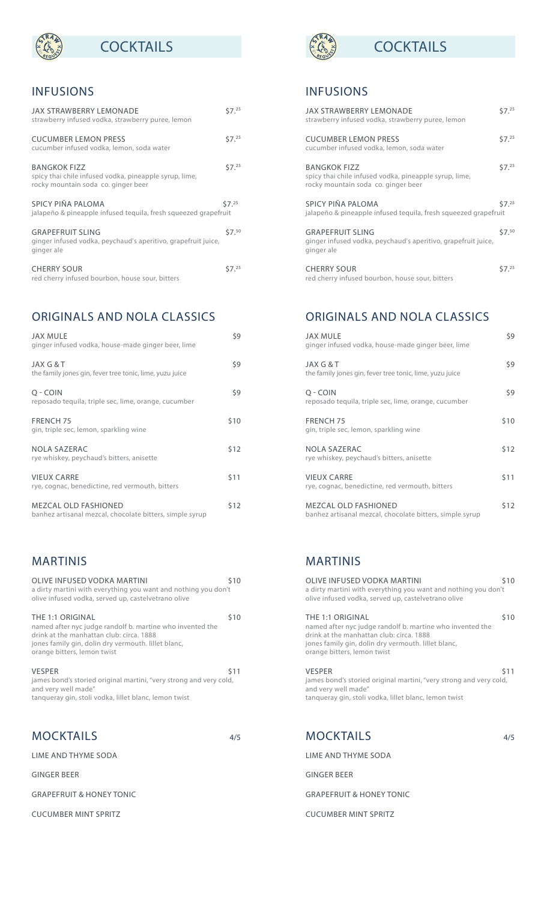### INFUSIONS

**REQUEST** 

| <b>JAX STRAWBERRY LEMONADE</b><br>strawberry infused vodka, strawberry puree, lemon                                  | 57. <sup>25</sup> |
|----------------------------------------------------------------------------------------------------------------------|-------------------|
| <b>CUCUMBER LEMON PRESS</b><br>cucumber infused vodka, lemon, soda water                                             | 57. <sup>25</sup> |
| <b>BANGKOK FIZZ</b><br>spicy thai chile infused vodka, pineapple syrup, lime,<br>rocky mountain soda co. ginger beer | 57. <sup>25</sup> |
| SPICY PIÑA PALOMA<br>jalapeño & pineapple infused tequila, fresh squeezed grapefruit                                 | $57^{25}$         |
| <b>GRAPEFRUIT SLING</b><br>ginger infused vodka, peychaud's aperitivo, grapefruit juice,<br>ginger ale               | \$7.50            |
| <b>CHERRY SOUR</b><br>red cherry infused bourbon, house sour, bitters                                                | \$7.25            |

## ORIGINALS AND NOLA CLASSICS

| JAX MULE<br>ginger infused vodka, house-made ginger beer, lime                          | \$9  |
|-----------------------------------------------------------------------------------------|------|
| JAX G & T<br>the family jones gin, fever tree tonic, lime, yuzu juice                   | \$9  |
| O - COIN<br>reposado tequila, triple sec, lime, orange, cucumber                        | \$9  |
| <b>FRENCH 75</b><br>gin, triple sec, lemon, sparkling wine                              | \$10 |
| <b>NOLA SAZERAC</b><br>rye whiskey, peychaud's bitters, anisette                        | \$12 |
| <b>VIEUX CARRE</b><br>rye, cognac, benedictine, red vermouth, bitters                   | \$11 |
| <b>MEZCAL OLD FASHIONED</b><br>banhez artisanal mezcal, chocolate bitters, simple syrup | \$12 |

#### MARTINIS

| OLIVE INFUSED VODKA MARTINI<br>a dirty martini with everything you want and nothing you don't<br>olive infused vodka, served up, castelvetrano olive                                                            | \$10       |
|-----------------------------------------------------------------------------------------------------------------------------------------------------------------------------------------------------------------|------------|
| THE 1:1 ORIGINAL<br>named after nyc judge randolf b. martine who invented the<br>drink at the manhattan club: circa. 1888<br>jones family gin, dolin dry vermouth. Iillet blanc,<br>orange bitters, lemon twist | \$10       |
| <b>VESPER</b><br>james bond's storied original martini, "very strong and very cold,<br>and very well made"<br>tangueray gin, stoli vodka, lillet blanc, lemon twist                                             | <b>S11</b> |

#### MOCKTAILS 4/5

LIME AND THYME SODA

GINGER BEER

GRAPEFRUIT & HONEY TONIC

CUCUMBER MINT SPRITZ



# **COCKTAILS SOLID EXAMPLE EXAMPLE EXAMPLE EXAMPLE EXAMPLE EXAMPLE EXAMPLE EXAMPLE EXAMPLE EXAMPLE EXAMPLE EXAMPLE EXAMPLE EXAMPLE EXAMPLE EXAMPLE EXAMPLE EXAMPLE EXAMPLE EXAMPLE EXAMPLE EXAMPLE EXAMPLE EXAMPLE EXAMPLE EXA**

### INFUSIONS

| JAX STRAWBERRY LEMONADE<br>strawberry infused vodka, strawberry puree, lemon                                         | 57. <sup>25</sup> |
|----------------------------------------------------------------------------------------------------------------------|-------------------|
| <b>CUCUMBER LEMON PRESS</b><br>cucumber infused vodka, lemon, soda water                                             | 57. <sup>25</sup> |
| <b>BANGKOK FIZZ</b><br>spicy thai chile infused vodka, pineapple syrup, lime,<br>rocky mountain soda co. ginger beer | 57. <sup>25</sup> |
| SPICY PIÑA PALOMA<br>jalapeño & pineapple infused tequila, fresh squeezed grapefruit                                 | 57 <sup>25</sup>  |
| <b>GRAPEFRUIT SLING</b><br>ginger infused vodka, peychaud's aperitivo, grapefruit juice,<br>ginger ale               | \$7.50            |
| <b>CHERRY SOUR</b><br>red cherry infused bourbon, house sour, bitters                                                | S7.25             |

## ORIGINALS AND NOLA CLASSICS

| JAX MULE<br>ginger infused vodka, house-made ginger beer, lime                          | \$9  |
|-----------------------------------------------------------------------------------------|------|
| JAX G & T<br>the family jones gin, fever tree tonic, lime, yuzu juice                   | \$9  |
| O - COIN<br>reposado tequila, triple sec, lime, orange, cucumber                        | \$9  |
| <b>FRENCH 75</b><br>gin, triple sec, lemon, sparkling wine                              | \$10 |
| <b>NOLA SAZERAC</b><br>rye whiskey, peychaud's bitters, anisette                        | \$12 |
| <b>VIEUX CARRE</b><br>rye, cognac, benedictine, red vermouth, bitters                   | \$11 |
| <b>MEZCAL OLD FASHIONED</b><br>banhez artisanal mezcal, chocolate bitters, simple syrup | \$12 |

### MARTINIS

| OLIVE INFUSED VODKA MARTINI<br>a dirty martini with everything you want and nothing you don't<br>olive infused vodka, served up, castelvetrano olive                                                            | \$10 |
|-----------------------------------------------------------------------------------------------------------------------------------------------------------------------------------------------------------------|------|
| THE 1:1 ORIGINAL<br>named after nyc judge randolf b. martine who invented the<br>drink at the manhattan club: circa. 1888<br>jones family gin, dolin dry vermouth. lillet blanc,<br>orange bitters, lemon twist | \$10 |
| <b>VESPER</b><br>james bond's storied original martini, "very strong and very cold,<br>and very well made"<br>tangueray gin, stoli vodka, lillet blanc, lemon twist                                             | \$11 |
| <b>MOCKTAILS</b>                                                                                                                                                                                                | 4/5  |

LIME AND THYME SODA

GINGER BEER

GRAPEFRUIT & HONEY TONIC

CUCUMBER MINT SPRITZ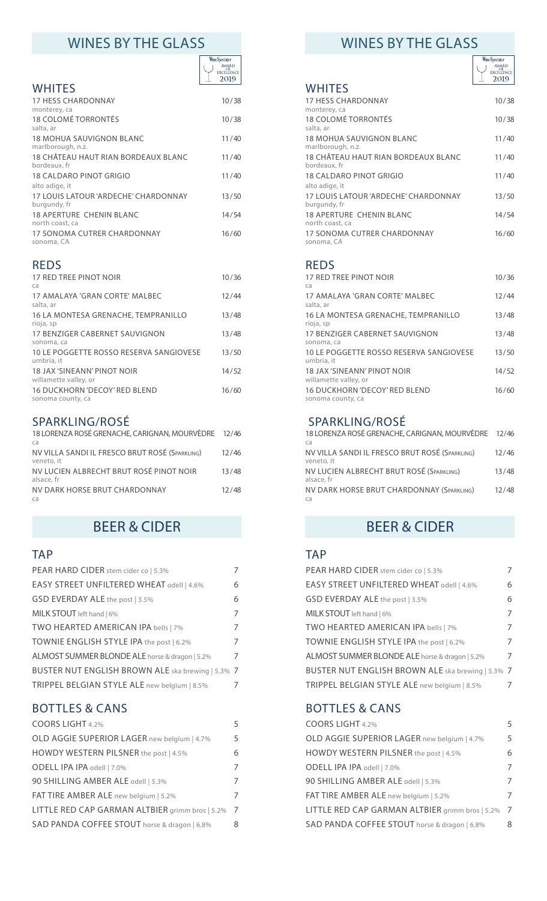| <b>Wine Spectator</b>                    |
|------------------------------------------|
| <b>AWARD</b><br><b>EXCELLENCE</b><br>019 |
|                                          |

|                                                            | ᅩ<br>ZUIG |
|------------------------------------------------------------|-----------|
| <b>WHITES</b><br><b>17 HESS CHARDONNAY</b><br>monterey, ca | 10/38     |
| 18 COLOMÉ TORRONTÉS<br>salta, ar                           | 10/38     |
| <b>18 MOHUA SAUVIGNON BLANC</b><br>marlborough, n.z.       | 11/40     |
| 18 CHÂTEAU HAUT RIAN BORDEAUX BLANC<br>bordeaux, fr        | 11/40     |
| 18 CALDARO PINOT GRIGIO<br>alto adige, it                  | 11/40     |
| 17 LOUIS LATOUR 'ARDECHE' CHARDONNAY<br>burgundy, fr       | 13/50     |
| <b>18 APERTURE CHENIN BLANC</b><br>north coast, ca         | 14/54     |
| 17 SONOMA CUTRER CHARDONNAY<br>sonoma, CA                  | 16/60     |

#### REDS

| 17 RED TREE PINOT NOIR<br>ca                              | 10/36 |
|-----------------------------------------------------------|-------|
| 17 AMAI AYA 'GRAN CORTF' MAI BFC<br>salta, ar             | 12/44 |
| 16 LA MONTESA GRENACHE, TEMPRANILLO<br>rioja, sp          | 13/48 |
| 17 BENZIGER CABERNET SAUVIGNON<br>sonoma, ca              | 13/48 |
| 10 LE POGGETTE ROSSO RESERVA SANGIOVESE<br>umbria, it     | 13/50 |
| 18 JAX 'SINEANN' PINOT NOIR<br>willamette valley, or      | 14/52 |
| <b>16 DUCKHORN 'DECOY' RED BLEND</b><br>sonoma county, ca | 16/60 |
|                                                           |       |

#### SPARKLING/ROSÉ

| 18 LORENZA ROSÉ GRENACHE, CARIGNAN, MOURVÈDRE 12/46<br>ca    |       |
|--------------------------------------------------------------|-------|
| NV VILLA SANDI IL FRESCO BRUT ROSÉ (SPARKLING)<br>veneto, it | 12/46 |
| NV LUCIEN ALBRECHT BRUT ROSÉ PINOT NOIR<br>alsace, fr        | 13/48 |
| NV DARK HORSE BRUT CHARDONNAY<br>ca                          | 12/48 |

### TAP

| PEAR HARD CIDER stem cider co   5.3%              | $\overline{7}$ |
|---------------------------------------------------|----------------|
| EASY STREET UNFILTERED WHEAT odell   4.6%         | 6              |
| GSD EVERDAY ALE the post   3.5%                   | 6              |
| MILK STOUT left hand   6%                         | $\overline{7}$ |
| TWO HEARTED AMERICAN IPA bells   7%               | 7              |
| TOWNIE ENGLISH STYLE IPA the post   6.2%          | 7              |
| ALMOST SUMMER BLONDE ALE horse & dragon   5.2%    | $\overline{7}$ |
| BUSTER NUT ENGLISH BROWN ALE ska brewing   5.3% 7 |                |
| TRIPPEL BELGIAN STYLE ALE new belgium   8.5%      | 7              |

#### BOTTLES & CANS

| COORS LIGHT 4.2%                                | 5              |
|-------------------------------------------------|----------------|
| OLD AGGIE SUPERIOR LAGER new belgium   4.7%     | 5              |
| HOWDY WESTERN PILSNER the post   4.5%           | 6              |
| ODELL IPA IPA odell   7.0%                      | 7              |
| 90 SHILLING AMBER ALE odell   5.3%              | 7              |
| FAT TIRE AMBER ALE new belgium   5.2%           | 7              |
| LITTLE RED CAP GARMAN ALTBIER grimm bros   5.2% | $\overline{7}$ |
| SAD PANDA COFFEE STOUT horse & dragon   6.8%    | 8              |

# WINES BY THE GLASS WINES BY THE GLASS



|                                                      | 2019  |
|------------------------------------------------------|-------|
| <b>WHITES</b>                                        |       |
| <b>17 HESS CHARDONNAY</b><br>monterey, ca            | 10/38 |
| 18 COLOMÉ TORRONTÉS<br>salta, ar                     | 10/38 |
| <b>18 MOHUA SAUVIGNON BLANC</b><br>marlborough, n.z. | 11/40 |
| 18 CHÂTEAU HAUT RIAN BORDEAUX BLANC<br>bordeaux, fr  | 11/40 |
| 18 CALDARO PINOT GRIGIO<br>alto adige, it            | 11/40 |
| 17 LOUIS LATOUR 'ARDECHE' CHARDONNAY<br>burgundy, fr | 13/50 |
| <b>18 APERTURE CHENIN BLANC</b><br>north coast, ca   | 14/54 |
| 17 SONOMA CUTRER CHARDONNAY<br>sonoma, CA            | 16/60 |
|                                                      |       |

#### REDS

| 17 RED TREE PINOT NOIR<br>ca                          | 10/36 |
|-------------------------------------------------------|-------|
| 17 AMALAYA 'GRAN CORTE' MALBEC<br>salta, ar           | 12/44 |
| 16 LA MONTESA GRENACHE, TEMPRANILLO<br>rioja, sp      | 13/48 |
| 17 BENZIGER CABERNET SAUVIGNON<br>sonoma, ca          | 13/48 |
| 10 LE POGGETTE ROSSO RESERVA SANGIOVESE<br>umbria, it | 13/50 |
| 18 JAX 'SINFANN' PINOT NOIR<br>willamette valley, or  | 14/52 |
| 16 DUCKHORN 'DECOY' RED BLEND<br>sonoma county, ca    | 16/60 |

#### SPARKLING/ROSÉ

| 18 LORENZA ROSÉ GRENACHE, CARIGNAN, MOURVÈDRE 12/46<br>ca    |       |
|--------------------------------------------------------------|-------|
| NV VILLA SANDI IL FRESCO BRUT ROSÉ (SPARKLING)<br>veneto, it | 12/46 |
| NV LUCIEN ALBRECHT BRUT ROSÉ (SPARKLING)<br>alsace, fr       | 13/48 |
| NV DARK HORSE BRUT CHARDONNAY (SPARKLING)<br>ca              | 12/48 |

# BEER & CIDER BEER & CIDER

#### TAP

| PEAR HARD CIDER stem cider co   5.3%              | 7 |
|---------------------------------------------------|---|
| EASY STREET UNFILTERED WHEAT odell   4.6%         | 6 |
| GSD EVERDAY ALE the post   3.5%                   | 6 |
| MILK STOUT left hand   6%                         | 7 |
| TWO HEARTED AMERICAN IPA bells   7%               | 7 |
| TOWNIE ENGLISH STYLE IPA the post   6.2%          | 7 |
| ALMOST SUMMER BLONDE ALE horse & dragon   5.2%    | 7 |
| BUSTER NUT ENGLISH BROWN ALE ska brewing   5.3% 7 |   |
| TRIPPEL BELGIAN STYLE ALE new belgium   8.5%      |   |

#### BOTTLES & CANS

| COORS LIGHT 4.2%                                | 5 |
|-------------------------------------------------|---|
| OLD AGGIE SUPERIOR LAGER new belgium   4.7%     | 5 |
| HOWDY WESTERN PILSNER the post   4.5%           | 6 |
| ODELL IPA IPA odell   7.0%                      | 7 |
| 90 SHILLING AMBER ALE odell   5.3%              | 7 |
| FAT TIRE AMBER ALE new belgium   5.2%           | 7 |
| LITTLE RED CAP GARMAN ALTBIER grimm bros   5.2% | 7 |
| SAD PANDA COFFEE STOUT horse & dragon   6.8%    | 8 |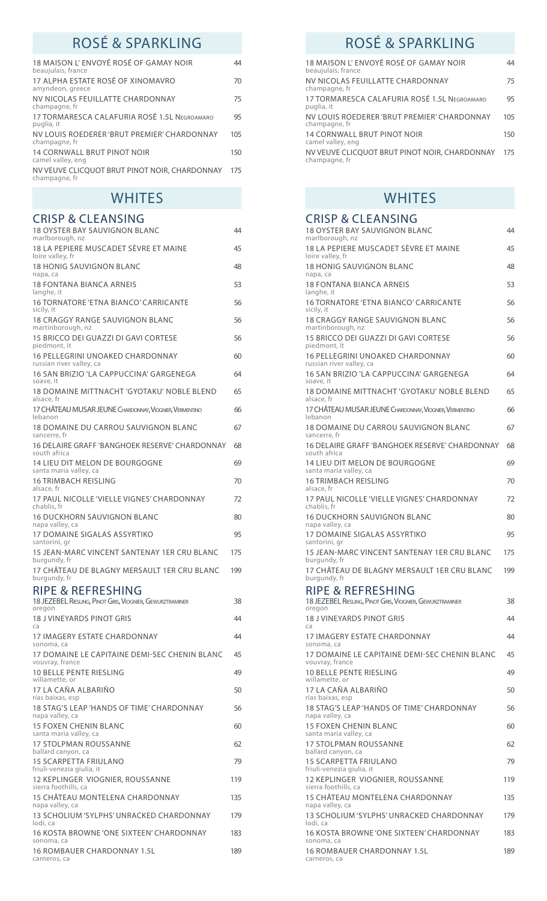# ROSÉ & SPARKLING<br>ROSÉ & SPARKLING

| 18 MAISON L'ENVOYÉ ROSÉ OF GAMAY NOIR<br>beaujulais, france        | 44  |
|--------------------------------------------------------------------|-----|
| 17 ALPHA ESTATE ROSÉ OF XINOMAVRO<br>amyndeon, greece              | 70  |
| NV NICOLAS FEUILLATTE CHARDONNAY<br>champagne, fr                  | 75  |
| 17 TORMARESCA CALAEURIA ROSÉ 1.51 NEGROAMARO<br>puglia, it         | 95  |
| NV LOUIS ROEDERER 'BRUT PREMIER' CHARDONNAY<br>champagne, fr       | 105 |
| <b>14 CORNWALL BRUT PINOT NOIR</b><br>camel valley, eng            | 150 |
| NV VEUVE CLICQUOT BRUT PINOT NOIR, CHARDONNAY 175<br>champagne, fr |     |
|                                                                    |     |

### CRISP & CLEANSING

| <b>18 OYSTER BAY SAUVIGNON BLANC</b><br>marlborough, nz             | 44  |
|---------------------------------------------------------------------|-----|
| 18 LA PEPIERE MUSCADET SÈVRE ET MAINE<br>loire valley, fr           | 45  |
| <b>18 HONIG SAUVIGNON BLANC</b><br>napa, ca                         | 48  |
| 18 FONTANA BIANCA ARNEIS<br>langhe, it                              | 53  |
| 16 TORNATORE 'ETNA BIANCO' CARRICANTE<br>sicily, it                 | 56  |
| 18 CRAGGY RANGE SAUVIGNON BLANC<br>martinborough, nz                | 56  |
| 15 BRICCO DEI GUAZZI DI GAVI CORTESE<br>piedmont, it                | 56  |
| 16 PELLEGRINI UNOAKED CHARDONNAY<br>russian river valley, ca        | 60  |
| 16 SAN BRIZIO 'LA CAPPUCCINA' GARGENEGA<br>soave, it                | 64  |
| 18 DOMAINE MITTNACHT 'GYOTAKU' NOBLE BLEND<br>alsace, fr            | 65  |
| 17 CHÄTEAU MUSAR JEUNE CHARDONNAY, VIOGNIER, VERMENTINO<br>lebanon  | 66  |
| 18 DOMAINE DU CARROU SAUVIGNON BLANC<br>sancerre, fr                | 67  |
| 16 DELAIRE GRAFF 'BANGHOEK RESERVE' CHARDONNAY<br>south africa      | 68  |
| 14 LIEU DIT MELON DE BOURGOGNE<br>santa maria valley, ca            | 69  |
| <b>16 TRIMBACH REISLING</b><br>alsace, fr                           | 70  |
| 17 PAUL NICOLLE 'VIELLE VIGNES' CHARDONNAY<br>chablis, fr           | 72  |
| <b>16 DUCKHORN SAUVIGNON BLANC</b><br>napa valley, ca               | 80  |
| <b>17 DOMAINE SIGALAS ASSYRTIKO</b><br>santorini, gr                | 95  |
| 15 JEAN-MARC VINCENT SANTENAY 1ER CRU BLANC<br>burgundy, fr         | 175 |
| 17 CHÂTEAU DE BLAGNY MERSAULT 1ER CRU BLANC<br>burgundy, fr         | 199 |
| RIPE & REFRESHING                                                   |     |
| 18 JEZEBEL RIESLING, PINOT GRIS, VIOGNIER, GEWURZTRAMINER<br>oregon | 38  |
| 18 J VINEYARDS PINOT GRIS<br>ca                                     | 44  |
| 17 IMAGERY ESTATE CHARDONNAY<br>sonoma, ca                          | 44  |
| 17 DOMAINE LE CAPITAINE DEMI-SEC CHENIN BLANC<br>vouvray, france    | 45  |
| 10 BELLE PENTE RIESLING<br>willamette, or                           | 49  |
| 17 LA CAÑA ALBARIÑO<br>rías baixas, esp                             | 50  |
| 18 STAG'S LEAP 'HANDS OF TIME' CHARDONNAY<br>napa valley, ca        | 56  |
| <b>15 FOXEN CHENIN BLANC</b><br>santa maria valley, ca              | 60  |
| <b>17 STOLPMAN ROUSSANNE</b><br>ballard canyon, ca                  | 62  |
| <b>15 SCARPETTA FRIULANO</b><br>friuli-venezia giulia, it           | 79  |
| 12 KEPLINGER VIOGNIER, ROUSSANNE<br>sierra foothills, ca            | 119 |
| 15 CHÂTEAU MONTELENA CHARDONNAY<br>napa valley, ca                  | 135 |
| 13 SCHOLIUM 'SYLPHS' UNRACKED CHARDONNAY<br>lodi, ca                | 179 |
| 16 KOSTA BROWNE 'ONE SIXTEEN' CHARDONNAY<br>sonoma, ca              | 183 |
| <b>16 ROMBAUER CHARDONNAY 1.5L</b><br>carneros, ca                  | 189 |

| 18 MAISON L'ENVOYÉ ROSÉ OF GAMAY NOIR<br>beaujulais, france    | 44  |
|----------------------------------------------------------------|-----|
| NV NICOLAS FEUILLATTE CHARDONNAY<br>champagne, fr              | 75  |
| 17 TORMARESCA CALAFURIA ROSÉ 1.5L NEGROAMARO<br>puglia, it     | 95  |
| NV LOUIS ROEDERER 'BRUT PREMIER' CHARDONNAY<br>champagne, fr   | 105 |
| <b>14 CORNWALL BRUT PINOT NOIR</b><br>camel valley, eng        | 150 |
| NV VEUVE CLICOUOT BRUT PINOT NOIR, CHARDONNAY<br>champagne, fr | 175 |

## WHITES WHITES

| <b>CRISP &amp; CLEANSING</b>                                                   |     |
|--------------------------------------------------------------------------------|-----|
| <b>18 OYSTER BAY SAUVIGNON BLANC</b><br>marlborough, nz                        | 44  |
| 18 LA PEPIERE MUSCADET SÈVRE ET MAINE<br>loire valley, fr                      | 45  |
| <b>18 HONIG SAUVIGNON BLANC</b><br>napa, ca                                    | 48  |
| <b>18 FONTANA BIANCA ARNEIS</b><br>langhe, it                                  | 53  |
| 16 TORNATORE 'ETNA BIANCO' CARRICANTE<br>sicily, it                            | 56  |
| 18 CRAGGY RANGE SAUVIGNON BLANC<br>martinborough, nz                           | 56  |
| 15 BRICCO DEI GUAZZI DI GAVI CORTESE<br>piedmont, it                           | 56  |
| 16 PELLEGRINI UNOAKED CHARDONNAY<br>russian river valley, ca                   | 60  |
| 16 SAN BRIZIO 'LA CAPPUCCINA' GARGENEGA<br>soave, it                           | 64  |
| 18 DOMAINE MITTNACHT 'GYOTAKU' NOBLE BLEND<br>alsace, fr                       | 65  |
| 17 CHÂTEAU MUSAR JEUNE CHARDONNAY, VIOGNIER, VERMENTINO<br>lebanon             | 66  |
| 18 DOMAINE DU CARROU SAUVIGNON BLANC<br>sancerre, fr                           | 67  |
| 16 DELAIRE GRAFF 'BANGHOEK RESERVE' CHARDONNAY<br>south africa                 | 68  |
| 14 LIEU DIT MELON DE BOURGOGNE<br>santa maria valley, ca                       | 69  |
| 16 TRIMBACH REISLING<br>alsace, fr                                             | 70  |
| 17 PAUL NICOLLE 'VIELLE VIGNES' CHARDONNAY<br>chablis, fr                      | 72  |
| <b>16 DUCKHORN SAUVIGNON BLANC</b><br>napa valley, ca                          | 80  |
| 17 DOMAINE SIGALAS ASSYRTIKO<br>santorini, gr                                  | 95  |
| 15 JEAN-MARC VINCENT SANTENAY 1ER CRU BLANC<br>burgundy, fr                    | 175 |
| 17 CHÂTEAU DE BLAGNY MERSAULT 1ER CRU BLANC<br>burgundy, fr                    | 199 |
| RIPE & REFRESHING<br>18 JEZEBEL RIESLING, PINOT GRIS, VIOGNIER, GEWURZTRAMINER | 38  |
| <b>18 J VINEYARDS PINOT GRIS</b>                                               | 44  |
| ca<br>17 IMAGERY ESTATE CHARDONNAY                                             | 44  |
| sonoma, ca<br>17 DOMAINE LE CAPITAINE DEMI-SEC CHENIN BLANC                    | 45  |
| vouvray, france<br>10 BELLE PENTE RIESLING                                     | 49  |
| willamette, or<br>17 LA CAÑA ALBARIÑO                                          | 50  |
| rías baixas, esp<br>18 STAG'S LEAP 'HANDS OF TIME' CHARDONNAY                  | 56  |
| napa valley, ca<br><b>15 FOXEN CHENIN BLANC</b>                                | 60  |
| santa maria valley, ca<br><b>17 STOLPMAN ROUSSANNE</b>                         | 62  |
| ballard canyon, ca<br><b>15 SCARPETTA FRIULANO</b>                             | 79  |
| friuli-venezia giulia, it<br>12 KEPLINGER VIOGNIER, ROUSSANNE                  | 119 |
| sierra foothills, ca<br>15 CHÂTEAU MONTELENA CHARDONNAY                        | 135 |
| napa valley, ca<br>13 SCHOLIUM 'SYLPHS' UNRACKED CHARDONNAY                    | 179 |
| lodi, ca<br>16 KOSTA BROWNE 'ONE SIXTEEN' CHARDONNAY                           | 183 |
| sonoma, ca<br>16 ROMBAUER CHARDONNAY 1.5L                                      | 189 |